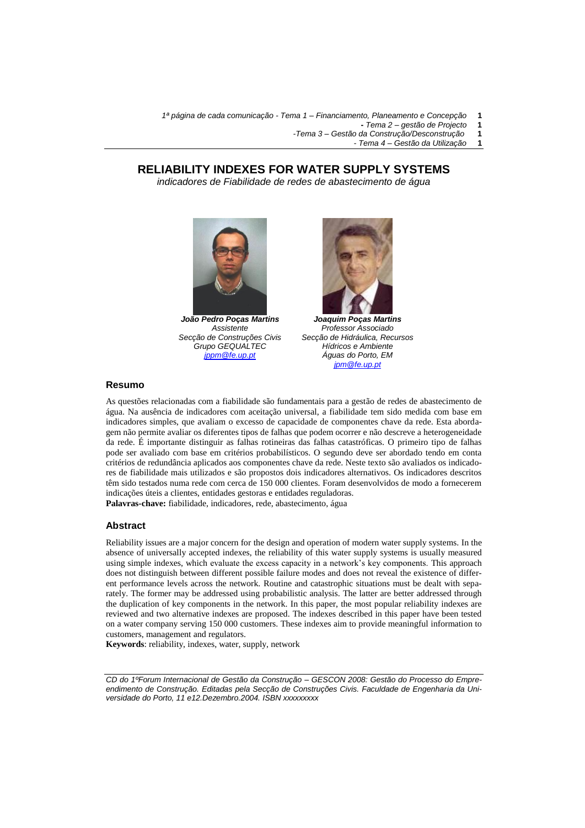*1ª página de cada comunicação - Tema 1 – Financiamento, Planeamento e Concepção* **1**

- **-** *Tema 2 – gestão de Projecto* **1**
- *-Tema 3 – Gestão da Construção/Desconstrução* **1**
	- *- Tema 4 – Gestão da Utilização* **1**

# **RELIABILITY INDEXES FOR WATER SUPPLY SYSTEMS**

*indicadores de Fiabilidade de redes de abastecimento de água*



*João Pedro Poças Martins Assistente Secção de Construções Civis Grupo GEQUALTEC [jppm@fe.up.pt](mailto:jppm@fe.up.pt)*



*Joaquim Poças Martins Professor Associado Secção de Hidráulica, Recursos Hídricos e Ambiente Águas do Porto, EM [jpm@fe.up.pt](mailto:jpm@fe.up.pt)*

### **Resumo**

As questões relacionadas com a fiabilidade são fundamentais para a gestão de redes de abastecimento de água. Na ausência de indicadores com aceitação universal, a fiabilidade tem sido medida com base em indicadores simples, que avaliam o excesso de capacidade de componentes chave da rede. Esta abordagem não permite avaliar os diferentes tipos de falhas que podem ocorrer e não descreve a heterogeneidade da rede. É importante distinguir as falhas rotineiras das falhas catastróficas. O primeiro tipo de falhas pode ser avaliado com base em critérios probabilísticos. O segundo deve ser abordado tendo em conta critérios de redundância aplicados aos componentes chave da rede. Neste texto são avaliados os indicadores de fiabilidade mais utilizados e são propostos dois indicadores alternativos. Os indicadores descritos têm sido testados numa rede com cerca de 150 000 clientes. Foram desenvolvidos de modo a fornecerem indicações úteis a clientes, entidades gestoras e entidades reguladoras.

**Palavras-chave:** fiabilidade, indicadores, rede, abastecimento, água

#### **Abstract**

Reliability issues are a major concern for the design and operation of modern water supply systems. In the absence of universally accepted indexes, the reliability of this water supply systems is usually measured using simple indexes, which evaluate the excess capacity in a network's key components. This approach does not distinguish between different possible failure modes and does not reveal the existence of different performance levels across the network. Routine and catastrophic situations must be dealt with separately. The former may be addressed using probabilistic analysis. The latter are better addressed through the duplication of key components in the network. In this paper, the most popular reliability indexes are reviewed and two alternative indexes are proposed. The indexes described in this paper have been tested on a water company serving 150 000 customers. These indexes aim to provide meaningful information to customers, management and regulators.

**Keywords**: reliability, indexes, water, supply, network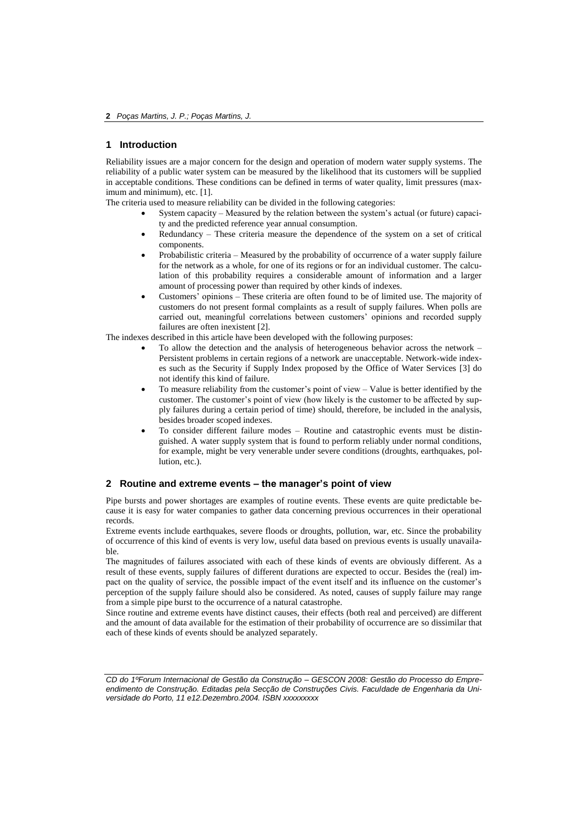### **1 Introduction**

Reliability issues are a major concern for the design and operation of modern water supply systems. The reliability of a public water system can be measured by the likelihood that its customers will be supplied in acceptable conditions. These conditions can be defined in terms of water quality, limit pressures (maximum and minimum), etc. [1].

The criteria used to measure reliability can be divided in the following categories:

- System capacity Measured by the relation between the system's actual (or future) capacity and the predicted reference year annual consumption.
- Redundancy These criteria measure the dependence of the system on a set of critical components.
- Probabilistic criteria Measured by the probability of occurrence of a water supply failure for the network as a whole, for one of its regions or for an individual customer. The calculation of this probability requires a considerable amount of information and a larger amount of processing power than required by other kinds of indexes.
- Customers' opinions These criteria are often found to be of limited use. The majority of customers do not present formal complaints as a result of supply failures. When polls are carried out, meaningful correlations between customers' opinions and recorded supply failures are often inexistent [2].

The indexes described in this article have been developed with the following purposes:

- To allow the detection and the analysis of heterogeneous behavior across the network Persistent problems in certain regions of a network are unacceptable. Network-wide indexes such as the Security if Supply Index proposed by the Office of Water Services [3] do not identify this kind of failure.
- To measure reliability from the customer's point of view Value is better identified by the customer. The customer's point of view (how likely is the customer to be affected by supply failures during a certain period of time) should, therefore, be included in the analysis, besides broader scoped indexes.
- To consider different failure modes Routine and catastrophic events must be distinguished. A water supply system that is found to perform reliably under normal conditions, for example, might be very venerable under severe conditions (droughts, earthquakes, pollution, etc.).

## **2 Routine and extreme events – the manager's point of view**

Pipe bursts and power shortages are examples of routine events. These events are quite predictable because it is easy for water companies to gather data concerning previous occurrences in their operational records.

Extreme events include earthquakes, severe floods or droughts, pollution, war, etc. Since the probability of occurrence of this kind of events is very low, useful data based on previous events is usually unavailable.

The magnitudes of failures associated with each of these kinds of events are obviously different. As a result of these events, supply failures of different durations are expected to occur. Besides the (real) impact on the quality of service, the possible impact of the event itself and its influence on the customer's perception of the supply failure should also be considered. As noted, causes of supply failure may range from a simple pipe burst to the occurrence of a natural catastrophe.

Since routine and extreme events have distinct causes, their effects (both real and perceived) are different and the amount of data available for the estimation of their probability of occurrence are so dissimilar that each of these kinds of events should be analyzed separately.

*CD do 1ºForum Internacional de Gestão da Construção – GESCON 2008: Gestão do Processo do Empreendimento de Construção. Editadas pela Secção de Construções Civis. Faculdade de Engenharia da Universidade do Porto, 11 e12.Dezembro.2004. ISBN xxxxxxxxx*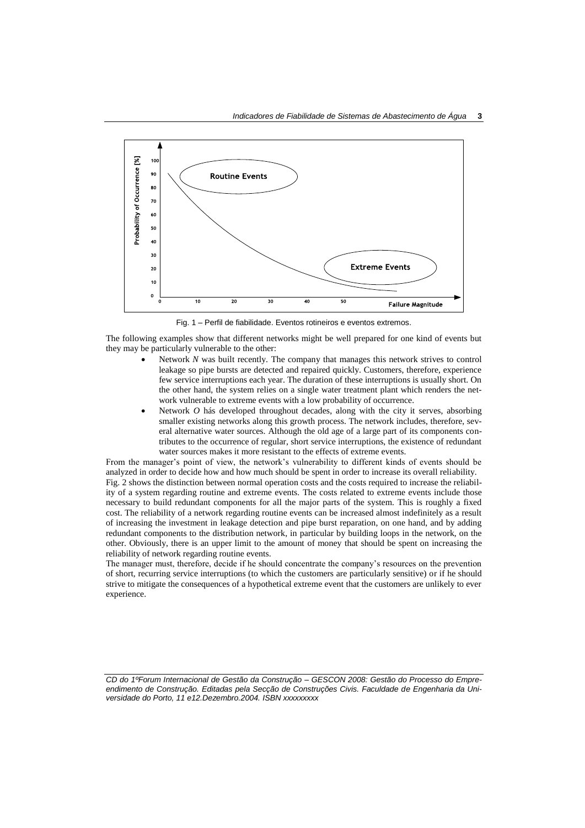

Fig. 1 – Perfil de fiabilidade. Eventos rotineiros e eventos extremos.

The following examples show that different networks might be well prepared for one kind of events but they may be particularly vulnerable to the other:

- Network *N* was built recently. The company that manages this network strives to control leakage so pipe bursts are detected and repaired quickly. Customers, therefore, experience few service interruptions each year. The duration of these interruptions is usually short. On the other hand, the system relies on a single water treatment plant which renders the network vulnerable to extreme events with a low probability of occurrence.
- Network *O* hás developed throughout decades, along with the city it serves, absorbing smaller existing networks along this growth process. The network includes, therefore, several alternative water sources. Although the old age of a large part of its components contributes to the occurrence of regular, short service interruptions, the existence of redundant water sources makes it more resistant to the effects of extreme events.

From the manager's point of view, the network's vulnerability to different kinds of events should be analyzed in order to decide how and how much should be spent in order to increase its overall reliability. Fig. 2 shows the distinction between normal operation costs and the costs required to increase the reliability of a system regarding routine and extreme events. The costs related to extreme events include those necessary to build redundant components for all the major parts of the system. This is roughly a fixed cost. The reliability of a network regarding routine events can be increased almost indefinitely as a result of increasing the investment in leakage detection and pipe burst reparation, on one hand, and by adding redundant components to the distribution network, in particular by building loops in the network, on the other. Obviously, there is an upper limit to the amount of money that should be spent on increasing the reliability of network regarding routine events.

The manager must, therefore, decide if he should concentrate the company's resources on the prevention of short, recurring service interruptions (to which the customers are particularly sensitive) or if he should strive to mitigate the consequences of a hypothetical extreme event that the customers are unlikely to ever experience.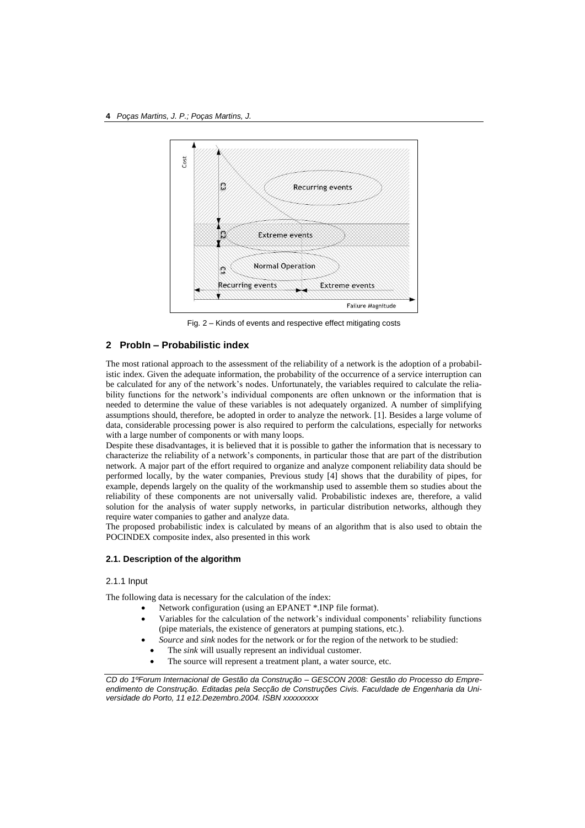

Fig. 2 – Kinds of events and respective effect mitigating costs

#### **2 ProbIn – Probabilistic index**

The most rational approach to the assessment of the reliability of a network is the adoption of a probabilistic index. Given the adequate information, the probability of the occurrence of a service interruption can be calculated for any of the network's nodes. Unfortunately, the variables required to calculate the reliability functions for the network's individual components are often unknown or the information that is needed to determine the value of these variables is not adequately organized. A number of simplifying assumptions should, therefore, be adopted in order to analyze the network. [1]. Besides a large volume of data, considerable processing power is also required to perform the calculations, especially for networks with a large number of components or with many loops.

Despite these disadvantages, it is believed that it is possible to gather the information that is necessary to characterize the reliability of a network's components, in particular those that are part of the distribution network. A major part of the effort required to organize and analyze component reliability data should be performed locally, by the water companies, Previous study [4] shows that the durability of pipes, for example, depends largely on the quality of the workmanship used to assemble them so studies about the reliability of these components are not universally valid. Probabilistic indexes are, therefore, a valid solution for the analysis of water supply networks, in particular distribution networks, although they require water companies to gather and analyze data.

The proposed probabilistic index is calculated by means of an algorithm that is also used to obtain the POCINDEX composite index, also presented in this work

#### **2.1. Description of the algorithm**

#### 2.1.1 Input

The following data is necessary for the calculation of the índex:

- Network configuration (using an EPANET \*.INP file format).
- Variables for the calculation of the network's individual components' reliability functions (pipe materials, the existence of generators at pumping stations, etc.).
	- *Source* and *sink* nodes for the network or for the region of the network to be studied:
	- The *sink* will usually represent an individual customer.
	- The source will represent a treatment plant, a water source, etc.

*CD do 1ºForum Internacional de Gestão da Construção – GESCON 2008: Gestão do Processo do Empreendimento de Construção. Editadas pela Secção de Construções Civis. Faculdade de Engenharia da Universidade do Porto, 11 e12.Dezembro.2004. ISBN xxxxxxxxx*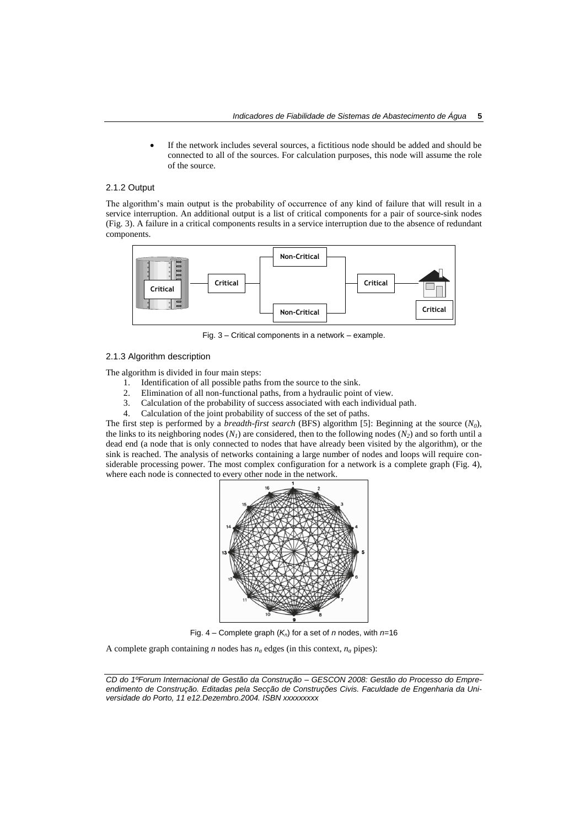If the network includes several sources, a fictitious node should be added and should be connected to all of the sources. For calculation purposes, this node will assume the role of the source.

### 2.1.2 Output

The algorithm's main output is the probability of occurrence of any kind of failure that will result in a service interruption. An additional output is a list of critical components for a pair of source-sink nodes [\(Fig. 3\)](#page-4-0). A failure in a critical components results in a service interruption due to the absence of redundant components.



Fig. 3 – Critical components in a network – example.

#### <span id="page-4-0"></span>2.1.3 Algorithm description

The algorithm is divided in four main steps:

- 1. Identification of all possible paths from the source to the sink.
- 2. Elimination of all non-functional paths, from a hydraulic point of view.
- 3. Calculation of the probability of success associated with each individual path.
- 4. Calculation of the joint probability of success of the set of paths.

The first step is performed by a *breadth-first search* (BFS) algorithm [5]: Beginning at the source (*N<sup>0</sup>* ), the links to its neighboring nodes  $(N_I)$  are considered, then to the following nodes  $(N_2)$  and so forth until a dead end (a node that is only connected to nodes that have already been visited by the algorithm), or the sink is reached. The analysis of networks containing a large number of nodes and loops will require considerable processing power. The most complex configuration for a network is a complete graph [\(Fig. 4\)](#page-4-1), where each node is connected to every other node in the network.



Fig. 4 – Complete graph (*Kn*) for a set of *n* nodes, with *n*=16

<span id="page-4-1"></span>A complete graph containing *n* nodes has  $n_a$  edges (in this context,  $n_a$  pipes):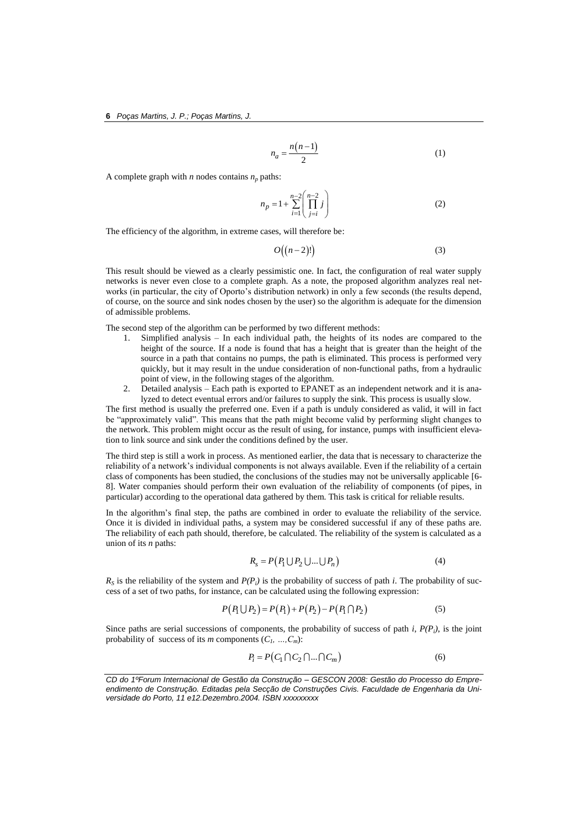$$
n_a = \frac{n(n-1)}{2} \tag{1}
$$

A complete graph with *n* nodes contains  $n_p$  paths:

$$
n_p = 1 + \sum_{i=1}^{n-2} \left( \prod_{j=i}^{n-2} j \right)
$$
 (2)

The efficiency of the algorithm, in extreme cases, will therefore be:

$$
O((n-2)!) \tag{3}
$$

This result should be viewed as a clearly pessimistic one. In fact, the configuration of real water supply networks is never even close to a complete graph. As a note, the proposed algorithm analyzes real networks (in particular, the city of Oporto's distribution network) in only a few seconds (the results depend, of course, on the source and sink nodes chosen by the user) so the algorithm is adequate for the dimension of admissible problems.

The second step of the algorithm can be performed by two different methods:

- 1. Simplified analysis In each individual path, the heights of its nodes are compared to the height of the source. If a node is found that has a height that is greater than the height of the source in a path that contains no pumps, the path is eliminated. This process is performed very quickly, but it may result in the undue consideration of non-functional paths, from a hydraulic point of view, in the following stages of the algorithm.
- 2. Detailed analysis Each path is exported to EPANET as an independent network and it is analyzed to detect eventual errors and/or failures to supply the sink. This process is usually slow.

The first method is usually the preferred one. Even if a path is unduly considered as valid, it will in fact be "approximately valid". This means that the path might become valid by performing slight changes to the network. This problem might occur as the result of using, for instance, pumps with insufficient elevation to link source and sink under the conditions defined by the user.

The third step is still a work in process. As mentioned earlier, the data that is necessary to characterize the reliability of a network's individual components is not always available. Even if the reliability of a certain class of components has been studied, the conclusions of the studies may not be universally applicable [6- 8]. Water companies should perform their own evaluation of the reliability of components (of pipes, in particular) according to the operational data gathered by them. This task is critical for reliable results.

In the algorithm's final step, the paths are combined in order to evaluate the reliability of the service. Once it is divided in individual paths, a system may be considered successful if any of these paths are. The reliability of each path should, therefore, be calculated. The reliability of the system is calculated as a union of its *n* paths:

$$
R_s = P(P_1 \cup P_2 \cup \dots \cup P_n)
$$
 (4)

 $R<sub>S</sub>$  is the reliability of the system and  $P(P<sub>i</sub>)$  is the probability of success of path *i*. The probability of success of a set of two paths, for instance, can be calculated using the following expression:

$$
P(P_1 \cup P_2) = P(P_1) + P(P_2) - P(P_1 \cap P_2)
$$
\n(5)

Since paths are serial successions of components, the probability of success of path *i*,  $P(P_i)$ , is the joint probability of success of its *m* components  $(C_1, ..., C_m)$ :

$$
P_i = P(C_1 \cap C_2 \cap \dots \cap C_m)
$$
 (6)

*CD do 1ºForum Internacional de Gestão da Construção – GESCON 2008: Gestão do Processo do Empreendimento de Construção. Editadas pela Secção de Construções Civis. Faculdade de Engenharia da Universidade do Porto, 11 e12.Dezembro.2004. ISBN xxxxxxxxx*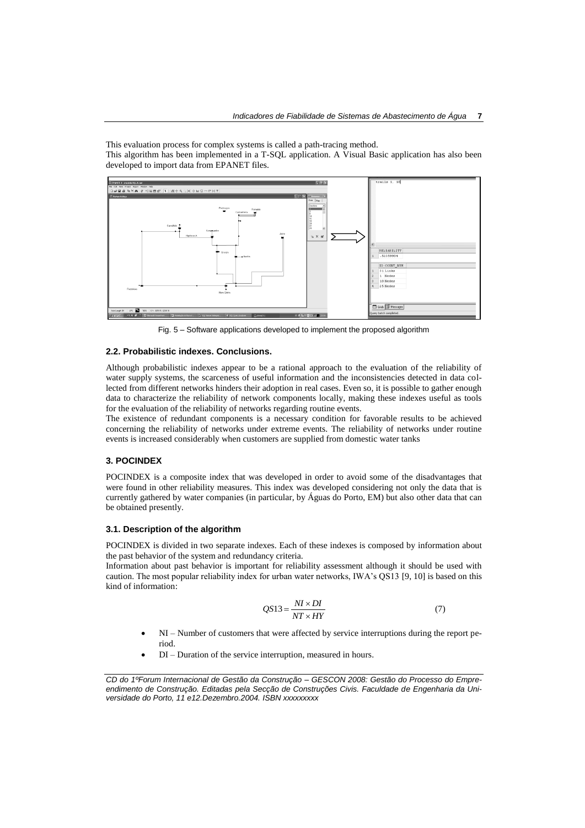This evaluation process for complex systems is called a path-tracing method. This algorithm has been implemented in a T-SQL application. A Visual Basic application has also been developed to import data from EPANET files.



Fig. 5 – Software applications developed to implement the proposed algorithm

#### **2.2. Probabilistic indexes. Conclusions.**

Although probabilistic indexes appear to be a rational approach to the evaluation of the reliability of water supply systems, the scarceness of useful information and the inconsistencies detected in data collected from different networks hinders their adoption in real cases. Even so, it is possible to gather enough data to characterize the reliability of network components locally, making these indexes useful as tools for the evaluation of the reliability of networks regarding routine events.

The existence of redundant components is a necessary condition for favorable results to be achieved concerning the reliability of networks under extreme events. The reliability of networks under routine events is increased considerably when customers are supplied from domestic water tanks

#### **3. POCINDEX**

POCINDEX is a composite index that was developed in order to avoid some of the disadvantages that were found in other reliability measures. This index was developed considering not only the data that is currently gathered by water companies (in particular, by Águas do Porto, EM) but also other data that can be obtained presently.

#### **3.1. Description of the algorithm**

POCINDEX is divided in two separate indexes. Each of these indexes is composed by information about the past behavior of the system and redundancy criteria.

Information about past behavior is important for reliability assessment although it should be used with caution. The most popular reliability index for urban water networks, IWA's QS13 [9, 10] is based on this kind of information:

$$
QS13 = \frac{NI \times DI}{NT \times HY}
$$
 (7)

- NI Number of customers that were affected by service interruptions during the report period.
- DI Duration of the service interruption, measured in hours.

*CD do 1ºForum Internacional de Gestão da Construção – GESCON 2008: Gestão do Processo do Empreendimento de Construção. Editadas pela Secção de Construções Civis. Faculdade de Engenharia da Universidade do Porto, 11 e12.Dezembro.2004. ISBN xxxxxxxxx*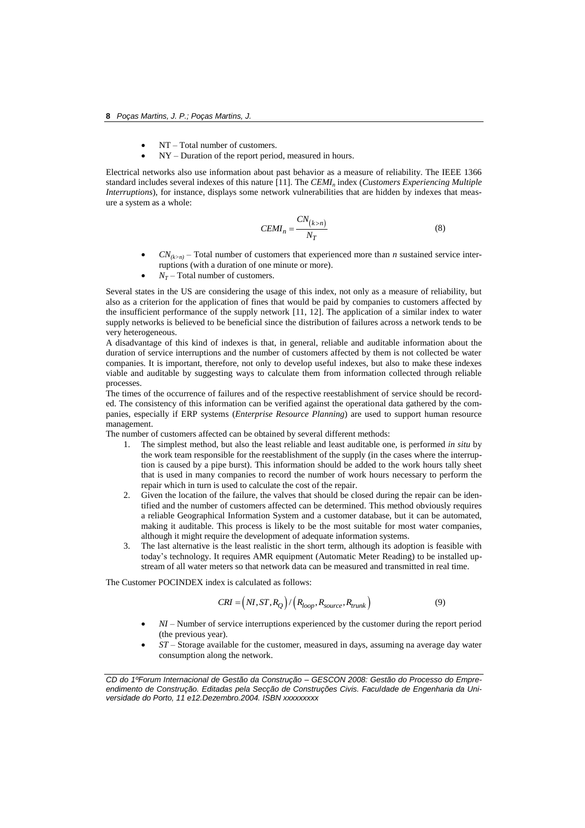- NT Total number of customers.
- NY Duration of the report period, measured in hours.

Electrical networks also use information about past behavior as a measure of reliability. The IEEE 1366 standard includes several indexes of this nature [11]. The *CEMI<sup>n</sup>* index (*Customers Experiencing Multiple Interruptions*), for instance, displays some network vulnerabilities that are hidden by indexes that measure a system as a whole:

$$
CEMI_n = \frac{CN_{(k>n)}}{N_T} \tag{8}
$$

- $CN_{(k,n)}$  Total number of customers that experienced more than *n* sustained service interruptions (with a duration of one minute or more).
- $N_T$  Total number of customers.

Several states in the US are considering the usage of this index, not only as a measure of reliability, but also as a criterion for the application of fines that would be paid by companies to customers affected by the insufficient performance of the supply network [11, 12]. The application of a similar index to water supply networks is believed to be beneficial since the distribution of failures across a network tends to be very heterogeneous.

A disadvantage of this kind of indexes is that, in general, reliable and auditable information about the duration of service interruptions and the number of customers affected by them is not collected be water companies. It is important, therefore, not only to develop useful indexes, but also to make these indexes viable and auditable by suggesting ways to calculate them from information collected through reliable processes.

The times of the occurrence of failures and of the respective reestablishment of service should be recorded. The consistency of this information can be verified against the operational data gathered by the companies, especially if ERP systems (*Enterprise Resource Planning*) are used to support human resource management.

The number of customers affected can be obtained by several different methods:

- 1. The simplest method, but also the least reliable and least auditable one, is performed *in situ* by the work team responsible for the reestablishment of the supply (in the cases where the interruption is caused by a pipe burst). This information should be added to the work hours tally sheet that is used in many companies to record the number of work hours necessary to perform the repair which in turn is used to calculate the cost of the repair.
- 2. Given the location of the failure, the valves that should be closed during the repair can be identified and the number of customers affected can be determined. This method obviously requires a reliable Geographical Information System and a customer database, but it can be automated, making it auditable. This process is likely to be the most suitable for most water companies, although it might require the development of adequate information systems.
- 3. The last alternative is the least realistic in the short term, although its adoption is feasible with today's technology. It requires AMR equipment (Automatic Meter Reading) to be installed upstream of all water meters so that network data can be measured and transmitted in real time.

The Customer POCINDEX index is calculated as follows:

$$
CRI = (NI, ST, R_Q) / (R_{loop}, R_{source}, R_{trunk})
$$
\n(9)

- *NI* Number of service interruptions experienced by the customer during the report period (the previous year).
- *ST* Storage available for the customer, measured in days, assuming na average day water consumption along the network.

*CD do 1ºForum Internacional de Gestão da Construção – GESCON 2008: Gestão do Processo do Empreendimento de Construção. Editadas pela Secção de Construções Civis. Faculdade de Engenharia da Universidade do Porto, 11 e12.Dezembro.2004. ISBN xxxxxxxxx*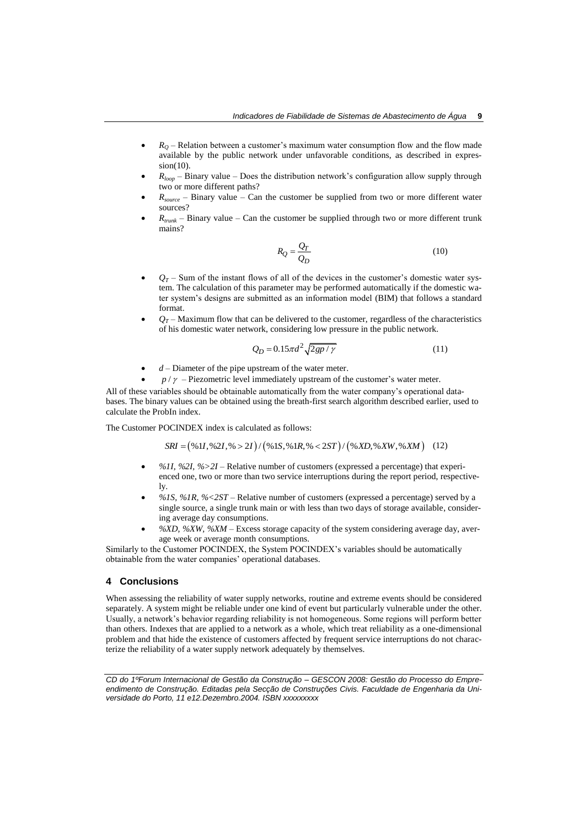- $R<sub>O</sub>$  Relation between a customer's maximum water consumption flow and the flow made available by the public network under unfavorable conditions, as described in expres $sion(10)$ .
- $R_{loop}$  Binary value Does the distribution network's configuration allow supply through two or more different paths?
- $R_{source}$  Binary value Can the customer be supplied from two or more different water sources?
- $R_{\text{trunk}}$  Binary value Can the customer be supplied through two or more different trunk mains?

$$
R_Q = \frac{Q_T}{Q_D} \tag{10}
$$

- $Q_T$  Sum of the instant flows of all of the devices in the customer's domestic water system. The calculation of this parameter may be performed automatically if the domestic water system's designs are submitted as an information model (BIM) that follows a standard format.
- $Q_T$  Maximum flow that can be delivered to the customer, regardless of the characteristics of his domestic water network, considering low pressure in the public network.

$$
Q_D = 0.15\pi d^2 \sqrt{2gp/\gamma} \tag{11}
$$

- *d* Diameter of the pipe upstream of the water meter.
- $p / \gamma$  Piezometric level immediately upstream of the customer's water meter.

All of these variables should be obtainable automatically from the water company's operational databases. The binary values can be obtained using the breath-first search algorithm described earlier, used to calculate the ProbIn index.

The Customer POCINDEX index is calculated as follows:

*SRI* =  $(\%1I, \%2I, \% > 2I) / (\%1S, \%1R, \% < 2ST) / (\%XD, \%XW, \%XM)$  (12)

- *%1I, %2I, %>2I* Relative number of customers (expressed a percentage) that experienced one, two or more than two service interruptions during the report period, respectively.
- *%1S, %1R, %<2ST* Relative number of customers (expressed a percentage) served by a single source, a single trunk main or with less than two days of storage available, considering average day consumptions.
- *%XD, %XW, %XM* Excess storage capacity of the system considering average day, average week or average month consumptions.

Similarly to the Customer POCINDEX, the System POCINDEX's variables should be automatically obtainable from the water companies' operational databases.

#### **4 Conclusions**

When assessing the reliability of water supply networks, routine and extreme events should be considered separately. A system might be reliable under one kind of event but particularly vulnerable under the other. Usually, a network's behavior regarding reliability is not homogeneous. Some regions will perform better than others. Indexes that are applied to a network as a whole, which treat reliability as a one-dimensional problem and that hide the existence of customers affected by frequent service interruptions do not characterize the reliability of a water supply network adequately by themselves.

*CD do 1ºForum Internacional de Gestão da Construção – GESCON 2008: Gestão do Processo do Empreendimento de Construção. Editadas pela Secção de Construções Civis. Faculdade de Engenharia da Universidade do Porto, 11 e12.Dezembro.2004. ISBN xxxxxxxxx*